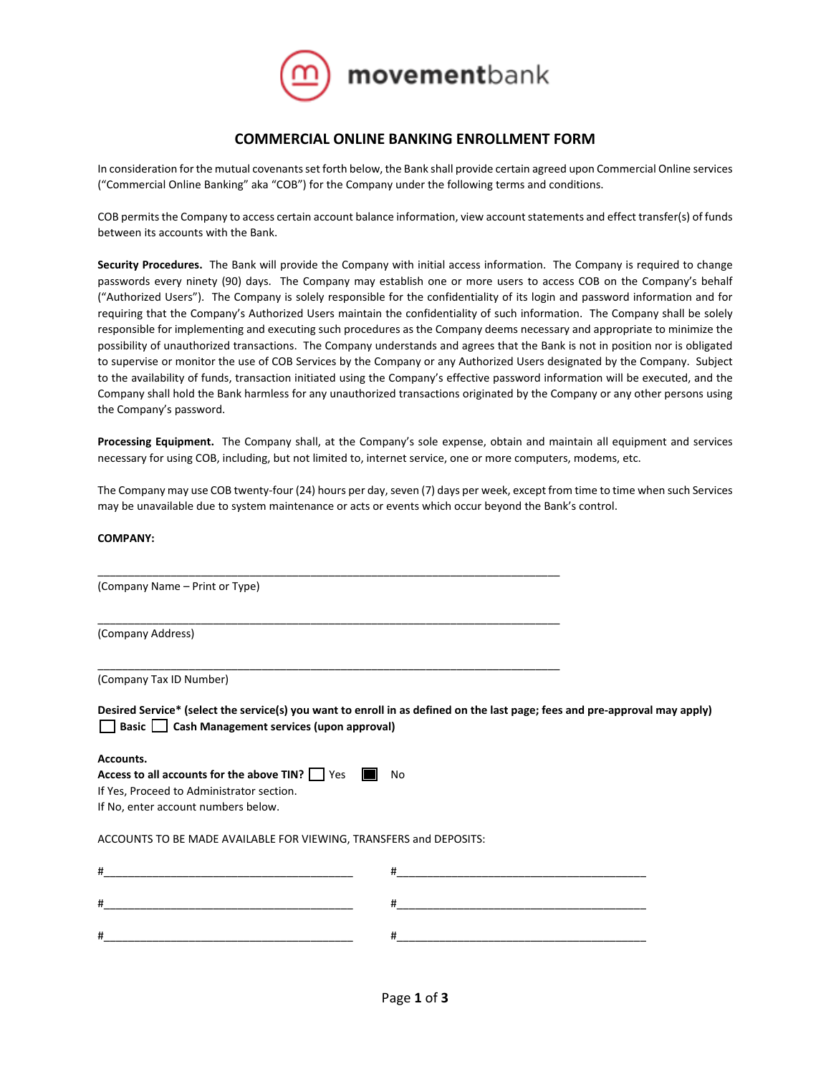

# **COMMERCIAL ONLINE BANKING ENROLLMENT FORM**

In consideration for the mutual covenants set forth below, the Bank shall provide certain agreed upon Commercial Online services ("Commercial Online Banking" aka "COB") for the Company under the following terms and conditions.

COB permits the Company to access certain account balance information, view account statements and effect transfer(s) of funds between its accounts with the Bank.

**Security Procedures.** The Bank will provide the Company with initial access information. The Company is required to change passwords every ninety (90) days. The Company may establish one or more users to access COB on the Company's behalf ("Authorized Users"). The Company is solely responsible for the confidentiality of its login and password information and for requiring that the Company's Authorized Users maintain the confidentiality of such information. The Company shall be solely responsible for implementing and executing such procedures as the Company deems necessary and appropriate to minimize the possibility of unauthorized transactions. The Company understands and agrees that the Bank is not in position nor is obligated to supervise or monitor the use of COB Services by the Company or any Authorized Users designated by the Company. Subject to the availability of funds, transaction initiated using the Company's effective password information will be executed, and the Company shall hold the Bank harmless for any unauthorized transactions originated by the Company or any other persons using the Company's password.

**Processing Equipment.** The Company shall, at the Company's sole expense, obtain and maintain all equipment and services necessary for using COB, including, but not limited to, internet service, one or more computers, modems, etc.

The Company may use COB twenty-four (24) hours per day, seven (7) days per week, except from time to time when such Services may be unavailable due to system maintenance or acts or events which occur beyond the Bank's control.

## **COMPANY:**

| (Company Name - Print or Type)                                     |                                                                                                                             |
|--------------------------------------------------------------------|-----------------------------------------------------------------------------------------------------------------------------|
| (Company Address)                                                  |                                                                                                                             |
| (Company Tax ID Number)                                            |                                                                                                                             |
| Basic Cash Management services (upon approval)                     | Desired Service* (select the service(s) you want to enroll in as defined on the last page; fees and pre-approval may apply) |
| Accounts.                                                          |                                                                                                                             |
| Access to all accounts for the above TIN? $\Box$ Yes $\Box$ No     |                                                                                                                             |
| If Yes, Proceed to Administrator section.                          |                                                                                                                             |
| If No, enter account numbers below.                                |                                                                                                                             |
| ACCOUNTS TO BE MADE AVAILABLE FOR VIEWING, TRANSFERS and DEPOSITS: |                                                                                                                             |
|                                                                    |                                                                                                                             |
| #                                                                  | <u> 1989 - Johann Harry Harry Harry Harry Harry Harry Harry Harry Harry Harry Harry Harry Harry Harry Harry Harry</u><br>#  |
| #                                                                  | #                                                                                                                           |
|                                                                    |                                                                                                                             |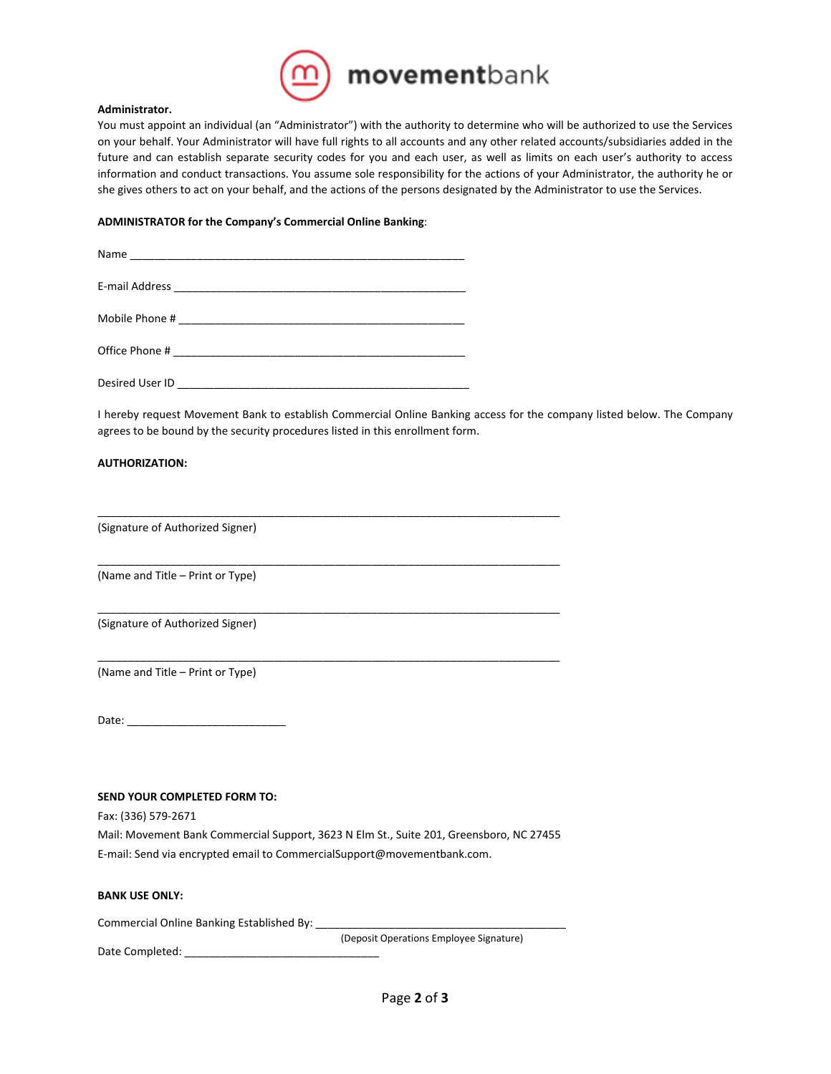

#### **Administrator.**

You must appoint an individual (an "Administrator") with the authority to determine who will be authorized to use the Services on your behalf. Your Administrator will have full rights to all accounts and any other related accounts/subsidiaries added in the future and can establish separate security codes for you and each user, as well as limits on each user's authority to access information and conduct transactions. You assume sole responsibility for the actions of your Administrator, the authority he or she gives others to act on your behalf, and the actions of the persons designated by the Administrator to use the Services.

## **ADMINISTRATOR for the Company's Commercial Online Banking**:

| Desired User ID |  |  |
|-----------------|--|--|

I hereby request Movement Bank to establish Commercial Online Banking access for the company listed below. The Company agrees to be bound by the security procedures listed in this enrollment form.

## **AUTHORIZATION:**

(Signature of Authorized Signer)

(Name and Title – Print or Type)

(Signature of Authorized Signer)

(Name and Title – Print or Type)

Date: \_\_\_\_\_\_\_\_\_\_\_\_\_\_\_\_\_\_\_\_\_\_\_\_\_\_

#### **SEND YOUR COMPLETED FORM TO:**

Fax: (336) 579-2671

Mail: Movement Bank Commercial Support, 3623 N Elm St., Suite 201, Greensboro, NC 27455 E-mail: Send via encrypted email to CommercialSupport@movementbank.com.

\_\_\_\_\_\_\_\_\_\_\_\_\_\_\_\_\_\_\_\_\_\_\_\_\_\_\_\_\_\_\_\_\_\_\_\_\_\_\_\_\_\_\_\_\_\_\_\_\_\_\_\_\_\_\_\_\_\_\_\_\_\_\_\_\_\_\_\_\_\_\_\_\_\_\_\_

\_\_\_\_\_\_\_\_\_\_\_\_\_\_\_\_\_\_\_\_\_\_\_\_\_\_\_\_\_\_\_\_\_\_\_\_\_\_\_\_\_\_\_\_\_\_\_\_\_\_\_\_\_\_\_\_\_\_\_\_\_\_\_\_\_\_\_\_\_\_\_\_\_\_\_\_

\_\_\_\_\_\_\_\_\_\_\_\_\_\_\_\_\_\_\_\_\_\_\_\_\_\_\_\_\_\_\_\_\_\_\_\_\_\_\_\_\_\_\_\_\_\_\_\_\_\_\_\_\_\_\_\_\_\_\_\_\_\_\_\_\_\_\_\_\_\_\_\_\_\_\_\_

\_\_\_\_\_\_\_\_\_\_\_\_\_\_\_\_\_\_\_\_\_\_\_\_\_\_\_\_\_\_\_\_\_\_\_\_\_\_\_\_\_\_\_\_\_\_\_\_\_\_\_\_\_\_\_\_\_\_\_\_\_\_\_\_\_\_\_\_\_\_\_\_\_\_\_\_

# **BANK USE ONLY:**

Commercial Online Banking Established By: \_\_\_\_\_

(Deposit Operations Employee Signature)

Date Completed: \_\_\_\_\_\_